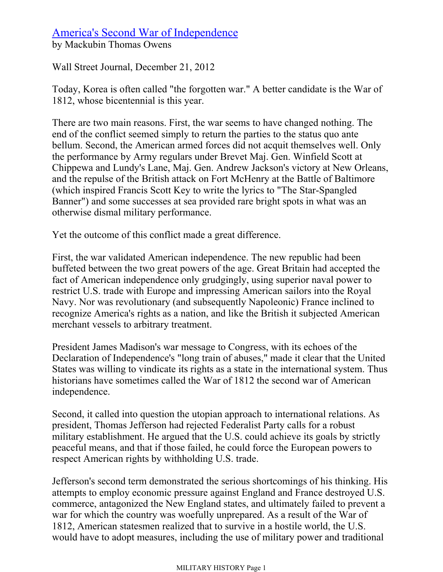## America's Second War of Independence by Mackubin Thomas Owens

Wall Street Journal, December 21, 2012

Today, Korea is often called "the forgotten war." A better candidate is the War of 1812, whose bicentennial is this year.

There are two main reasons. First, the war seems to have changed nothing. The end of the conflict seemed simply to return the parties to the status quo ante bellum. Second, the American armed forces did not acquit themselves well. Only the performance by Army regulars under Brevet Maj. Gen. Winfield Scott at Chippewa and Lundy's Lane, Maj. Gen. Andrew Jackson's victory at New Orleans, and the repulse of the British attack on Fort McHenry at the Battle of Baltimore (which inspired Francis Scott Key to write the lyrics to "The Star-Spangled Banner") and some successes at sea provided rare bright spots in what was an otherwise dismal military performance.

Yet the outcome of this conflict made a great difference.

First, the war validated American independence. The new republic had been buffeted between the two great powers of the age. Great Britain had accepted the fact of American independence only grudgingly, using superior naval power to restrict U.S. trade with Europe and impressing American sailors into the Royal Navy. Nor was revolutionary (and subsequently Napoleonic) France inclined to recognize America's rights as a nation, and like the British it subjected American merchant vessels to arbitrary treatment.

President James Madison's war message to Congress, with its echoes of the Declaration of Independence's "long train of abuses," made it clear that the United States was willing to vindicate its rights as a state in the international system. Thus historians have sometimes called the War of 1812 the second war of American independence.

Second, it called into question the utopian approach to international relations. As president, Thomas Jefferson had rejected Federalist Party calls for a robust military establishment. He argued that the U.S. could achieve its goals by strictly peaceful means, and that if those failed, he could force the European powers to respect American rights by withholding U.S. trade.

Jefferson's second term demonstrated the serious shortcomings of his thinking. His attempts to employ economic pressure against England and France destroyed U.S. commerce, antagonized the New England states, and ultimately failed to prevent a war for which the country was woefully unprepared. As a result of the War of 1812, American statesmen realized that to survive in a hostile world, the U.S. would have to adopt measures, including the use of military power and traditional